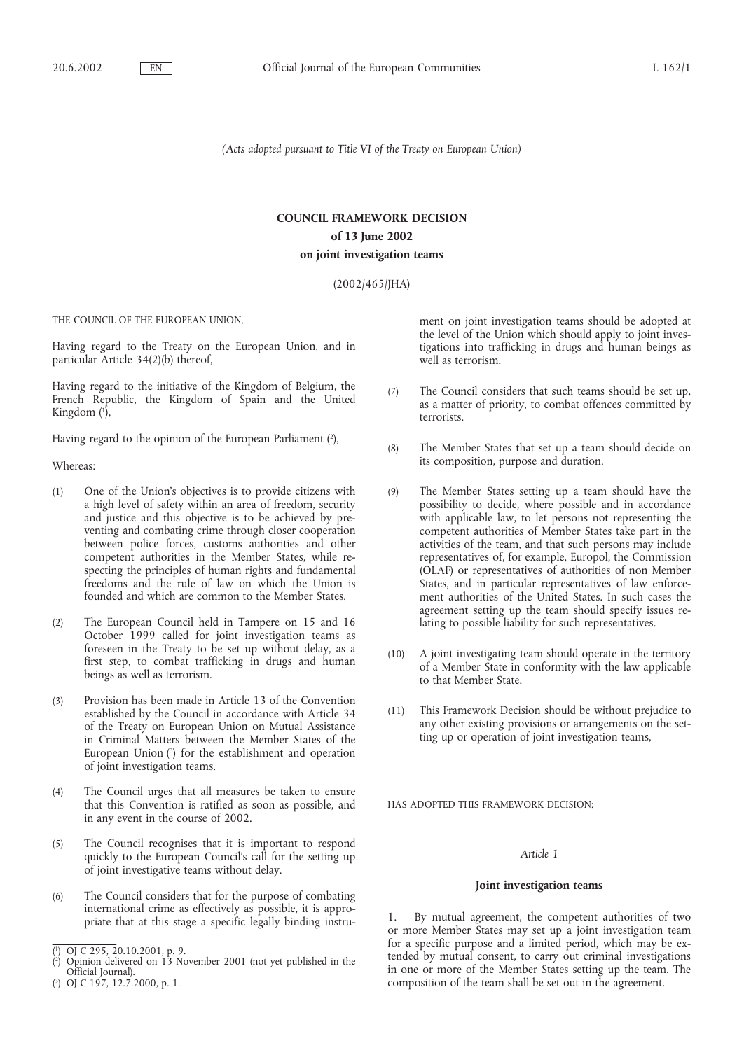*(Acts adopted pursuant to Title VI of the Treaty on European Union)*

# **COUNCIL FRAMEWORK DECISION of 13 June 2002 on joint investigation teams**

(2002/465/JHA)

THE COUNCIL OF THE EUROPEAN UNION,

Having regard to the Treaty on the European Union, and in particular Article 34(2)(b) thereof,

Having regard to the initiative of the Kingdom of Belgium, the French Republic, the Kingdom of Spain and the United Kingdom (1),

Having regard to the opinion of the European Parliament (2),

Whereas:

- (1) One of the Union's objectives is to provide citizens with a high level of safety within an area of freedom, security and justice and this objective is to be achieved by preventing and combating crime through closer cooperation between police forces, customs authorities and other competent authorities in the Member States, while respecting the principles of human rights and fundamental freedoms and the rule of law on which the Union is founded and which are common to the Member States.
- (2) The European Council held in Tampere on 15 and 16 October 1999 called for joint investigation teams as foreseen in the Treaty to be set up without delay, as a first step, to combat trafficking in drugs and human beings as well as terrorism.
- (3) Provision has been made in Article 13 of the Convention established by the Council in accordance with Article 34 of the Treaty on European Union on Mutual Assistance in Criminal Matters between the Member States of the European Union (3 ) for the establishment and operation of joint investigation teams.
- (4) The Council urges that all measures be taken to ensure that this Convention is ratified as soon as possible, and in any event in the course of 2002.
- (5) The Council recognises that it is important to respond quickly to the European Council's call for the setting up of joint investigative teams without delay.
- (6) The Council considers that for the purpose of combating international crime as effectively as possible, it is appropriate that at this stage a specific legally binding instru-

ment on joint investigation teams should be adopted at the level of the Union which should apply to joint investigations into trafficking in drugs and human beings as well as terrorism.

- (7) The Council considers that such teams should be set up, as a matter of priority, to combat offences committed by terrorists.
- (8) The Member States that set up a team should decide on its composition, purpose and duration.
- (9) The Member States setting up a team should have the possibility to decide, where possible and in accordance with applicable law, to let persons not representing the competent authorities of Member States take part in the activities of the team, and that such persons may include representatives of, for example, Europol, the Commission (OLAF) or representatives of authorities of non Member States, and in particular representatives of law enforcement authorities of the United States. In such cases the agreement setting up the team should specify issues relating to possible liability for such representatives.
- (10) A joint investigating team should operate in the territory of a Member State in conformity with the law applicable to that Member State.
- (11) This Framework Decision should be without prejudice to any other existing provisions or arrangements on the setting up or operation of joint investigation teams,

HAS ADOPTED THIS FRAMEWORK DECISION:

### *Article 1*

### **Joint investigation teams**

1. By mutual agreement, the competent authorities of two or more Member States may set up a joint investigation team for a specific purpose and a limited period, which may be extended by mutual consent, to carry out criminal investigations in one or more of the Member States setting up the team. The composition of the team shall be set out in the agreement.

<sup>(</sup> 1 ) OJ C 295, 20.10.2001, p. 9.

<sup>(2)</sup> Opinion delivered on 13 November 2001 (not yet published in the Official Journal).

<sup>(</sup> 3 ) OJ C 197, 12.7.2000, p. 1.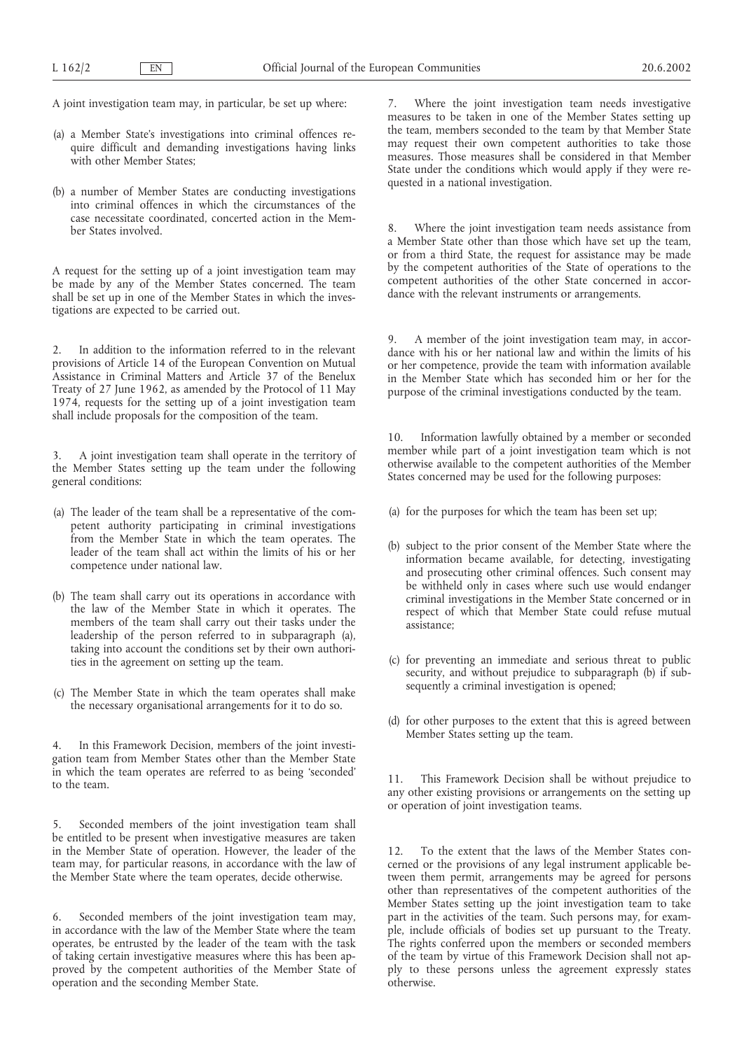A joint investigation team may, in particular, be set up where:

- (a) a Member State's investigations into criminal offences require difficult and demanding investigations having links with other Member States:
- (b) a number of Member States are conducting investigations into criminal offences in which the circumstances of the case necessitate coordinated, concerted action in the Member States involved.

A request for the setting up of a joint investigation team may be made by any of the Member States concerned. The team shall be set up in one of the Member States in which the investigations are expected to be carried out.

2. In addition to the information referred to in the relevant provisions of Article 14 of the European Convention on Mutual Assistance in Criminal Matters and Article 37 of the Benelux Treaty of 27 June 1962, as amended by the Protocol of 11 May 1974, requests for the setting up of a joint investigation team shall include proposals for the composition of the team.

3. A joint investigation team shall operate in the territory of the Member States setting up the team under the following general conditions:

- (a) The leader of the team shall be a representative of the competent authority participating in criminal investigations from the Member State in which the team operates. The leader of the team shall act within the limits of his or her competence under national law.
- (b) The team shall carry out its operations in accordance with the law of the Member State in which it operates. The members of the team shall carry out their tasks under the leadership of the person referred to in subparagraph (a), taking into account the conditions set by their own authorities in the agreement on setting up the team.
- (c) The Member State in which the team operates shall make the necessary organisational arrangements for it to do so.

4. In this Framework Decision, members of the joint investigation team from Member States other than the Member State in which the team operates are referred to as being 'seconded' to the team.

5. Seconded members of the joint investigation team shall be entitled to be present when investigative measures are taken in the Member State of operation. However, the leader of the team may, for particular reasons, in accordance with the law of the Member State where the team operates, decide otherwise.

6. Seconded members of the joint investigation team may, in accordance with the law of the Member State where the team operates, be entrusted by the leader of the team with the task of taking certain investigative measures where this has been approved by the competent authorities of the Member State of operation and the seconding Member State.

7. Where the joint investigation team needs investigative measures to be taken in one of the Member States setting up the team, members seconded to the team by that Member State may request their own competent authorities to take those measures. Those measures shall be considered in that Member State under the conditions which would apply if they were requested in a national investigation.

Where the joint investigation team needs assistance from a Member State other than those which have set up the team, or from a third State, the request for assistance may be made by the competent authorities of the State of operations to the competent authorities of the other State concerned in accordance with the relevant instruments or arrangements.

9. A member of the joint investigation team may, in accordance with his or her national law and within the limits of his or her competence, provide the team with information available in the Member State which has seconded him or her for the purpose of the criminal investigations conducted by the team.

Information lawfully obtained by a member or seconded member while part of a joint investigation team which is not otherwise available to the competent authorities of the Member States concerned may be used for the following purposes:

- (a) for the purposes for which the team has been set up;
- (b) subject to the prior consent of the Member State where the information became available, for detecting, investigating and prosecuting other criminal offences. Such consent may be withheld only in cases where such use would endanger criminal investigations in the Member State concerned or in respect of which that Member State could refuse mutual assistance;
- (c) for preventing an immediate and serious threat to public security, and without prejudice to subparagraph (b) if subsequently a criminal investigation is opened;
- (d) for other purposes to the extent that this is agreed between Member States setting up the team.

11. This Framework Decision shall be without prejudice to any other existing provisions or arrangements on the setting up or operation of joint investigation teams.

12. To the extent that the laws of the Member States concerned or the provisions of any legal instrument applicable between them permit, arrangements may be agreed for persons other than representatives of the competent authorities of the Member States setting up the joint investigation team to take part in the activities of the team. Such persons may, for example, include officials of bodies set up pursuant to the Treaty. The rights conferred upon the members or seconded members of the team by virtue of this Framework Decision shall not apply to these persons unless the agreement expressly states otherwise.